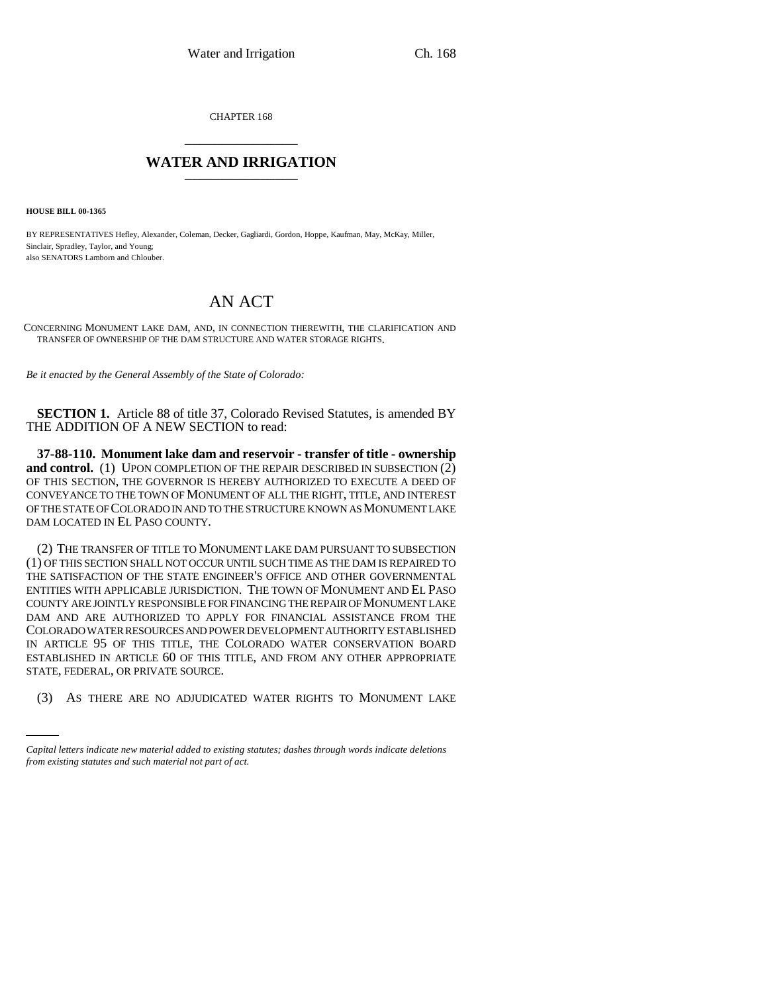CHAPTER 168 \_\_\_\_\_\_\_\_\_\_\_\_\_\_\_

## **WATER AND IRRIGATION** \_\_\_\_\_\_\_\_\_\_\_\_\_\_\_

**HOUSE BILL 00-1365** 

BY REPRESENTATIVES Hefley, Alexander, Coleman, Decker, Gagliardi, Gordon, Hoppe, Kaufman, May, McKay, Miller, Sinclair, Spradley, Taylor, and Young; also SENATORS Lamborn and Chlouber.

## AN ACT

CONCERNING MONUMENT LAKE DAM, AND, IN CONNECTION THEREWITH, THE CLARIFICATION AND TRANSFER OF OWNERSHIP OF THE DAM STRUCTURE AND WATER STORAGE RIGHTS.

*Be it enacted by the General Assembly of the State of Colorado:*

**SECTION 1.** Article 88 of title 37, Colorado Revised Statutes, is amended BY THE ADDITION OF A NEW SECTION to read:

**37-88-110. Monument lake dam and reservoir - transfer of title - ownership and control.** (1) UPON COMPLETION OF THE REPAIR DESCRIBED IN SUBSECTION  $(2)$ OF THIS SECTION, THE GOVERNOR IS HEREBY AUTHORIZED TO EXECUTE A DEED OF CONVEYANCE TO THE TOWN OF MONUMENT OF ALL THE RIGHT, TITLE, AND INTEREST OF THE STATE OF COLORADO IN AND TO THE STRUCTURE KNOWN AS MONUMENT LAKE DAM LOCATED IN EL PASO COUNTY.

STATE, FEDERAL, OR PRIVATE SOURCE. (2) THE TRANSFER OF TITLE TO MONUMENT LAKE DAM PURSUANT TO SUBSECTION (1) OF THIS SECTION SHALL NOT OCCUR UNTIL SUCH TIME AS THE DAM IS REPAIRED TO THE SATISFACTION OF THE STATE ENGINEER'S OFFICE AND OTHER GOVERNMENTAL ENTITIES WITH APPLICABLE JURISDICTION. THE TOWN OF MONUMENT AND EL PASO COUNTY ARE JOINTLY RESPONSIBLE FOR FINANCING THE REPAIR OF MONUMENT LAKE DAM AND ARE AUTHORIZED TO APPLY FOR FINANCIAL ASSISTANCE FROM THE COLORADO WATER RESOURCES AND POWER DEVELOPMENT AUTHORITY ESTABLISHED IN ARTICLE 95 OF THIS TITLE, THE COLORADO WATER CONSERVATION BOARD ESTABLISHED IN ARTICLE 60 OF THIS TITLE, AND FROM ANY OTHER APPROPRIATE

(3) AS THERE ARE NO ADJUDICATED WATER RIGHTS TO MONUMENT LAKE

*Capital letters indicate new material added to existing statutes; dashes through words indicate deletions from existing statutes and such material not part of act.*